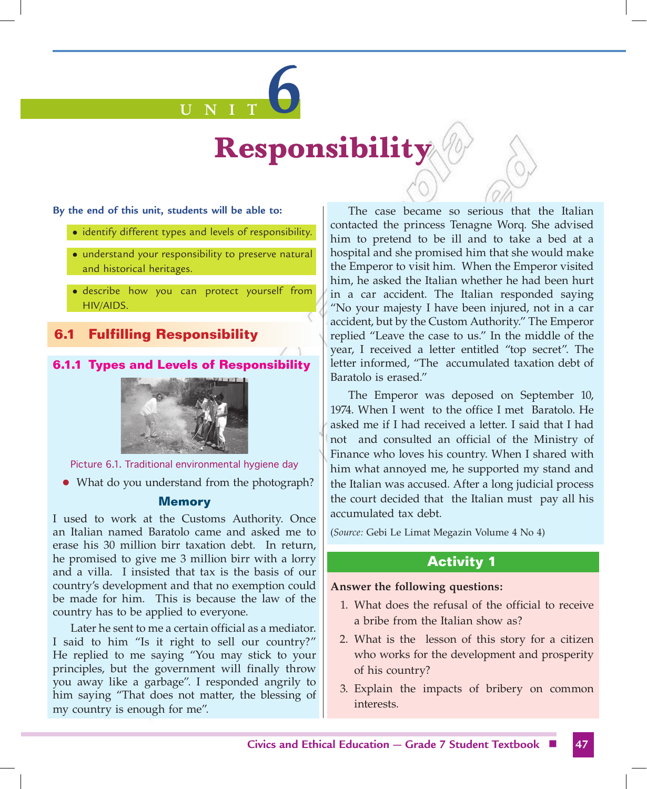

#### **By the end of this unit, students will be able to:**

- identify different types and levels of responsibility.
- understand your responsibility to preserve natural and historical heritages.
- describe how you can protect yourself from HIV/AIDS.

# **6.1 Fulfilling Responsibility**

### **6.1.1 Types and Levels of Responsibility**



Picture 6.1. Traditional environmental hygiene day

• What do you understand from the photograph?

#### **Memory**

I used to work at the Customs Authority. Once an Italian named Baratolo came and asked me to erase his 30 million birr taxation debt. In return, he promised to give me 3 million birr with a lorry and a villa. I insisted that tax is the basis of our country's development and that no exemption could be made for him. This is because the law of the country has to be applied to everyone.

Later he sent to me a certain official as a mediator. I said to him "Is it right to sell our country?" He replied to me saying "You may stick to your principles, but the government will finally throw you away like a garbage". I responded angrily to him saying "That does not matter, the blessing of my country is enough for me".

The case became so serious that the Italian contacted the princess Tenagne Worq. She advised him to pretend to be ill and to take a bed at a hospital and she promised him that she would make the Emperor to visit him. When the Emperor visited him, he asked the Italian whether he had been hurt in a car accident. The Italian responded saying "No your majesty I have been injured, not in a car accident, but by the Custom Authority." The Emperor replied "Leave the case to us." In the middle of the year, I received a letter entitled "top secret". The letter informed, "The accumulated taxation debt of Baratolo is erased."

The Emperor was deposed on September 10, 1974. When I went to the office I met Baratolo. He asked me if I had received a letter. I said that I had not and consulted an official of the Ministry of Finance who loves his country. When I shared with him what annoyed me, he supported my stand and the Italian was accused. After a long judicial process the court decided that the Italian must pay all his accumulated tax debt.

(*Source:* Gebi Le Limat Megazin Volume 4 No 4)

## **Activity 1**

#### **Answer the following questions:**

- 1. What does the refusal of the official to receive a bribe from the Italian show as?
- 2. What is the lesson of this story for a citizen who works for the development and prosperity of his country?
- 3. Explain the impacts of bribery on common interests.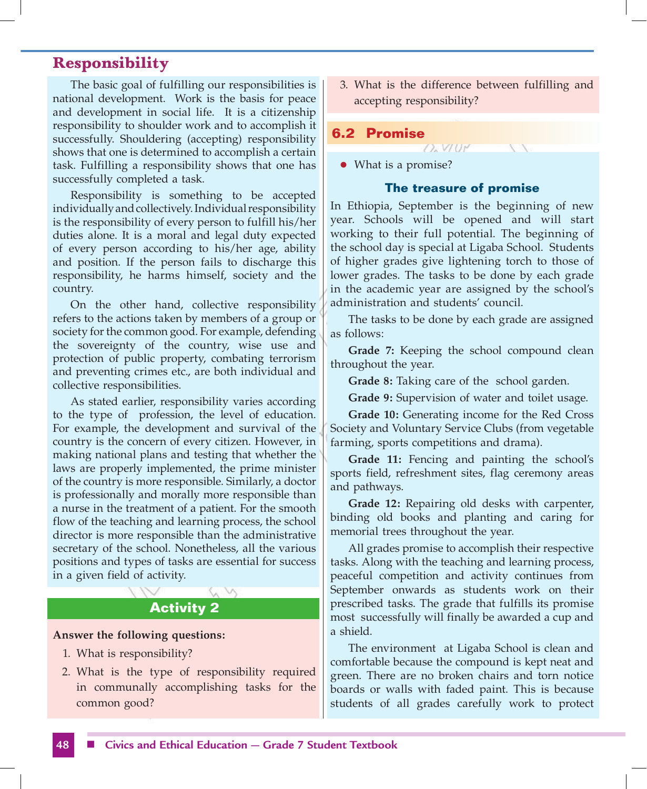The basic goal of fulfilling our responsibilities is national development. Work is the basis for peace and development in social life. It is a citizenship responsibility to shoulder work and to accomplish it successfully. Shouldering (accepting) responsibility shows that one is determined to accomplish a certain task. Fulfilling a responsibility shows that one has successfully completed a task.

Responsibility is something to be accepted individually and collectively. Individual responsibility is the responsibility of every person to fulfill his/her duties alone. It is a moral and legal duty expected of every person according to his/her age, ability and position. If the person fails to discharge this responsibility, he harms himself, society and the country.

On the other hand, collective responsibility refers to the actions taken by members of a group or society for the common good. For example, defending the sovereignty of the country, wise use and protection of public property, combating terrorism and preventing crimes etc., are both individual and collective responsibilities.

As stated earlier, responsibility varies according to the type of profession, the level of education. For example, the development and survival of the country is the concern of every citizen. However, in making national plans and testing that whether the laws are properly implemented, the prime minister of the country is more responsible. Similarly, a doctor is professionally and morally more responsible than a nurse in the treatment of a patient. For the smooth flow of the teaching and learning process, the school director is more responsible than the administrative secretary of the school. Nonetheless, all the various positions and types of tasks are essential for success in a given field of activity.

### **Activity 2**

#### **Answer the following questions:**

- 1. What is responsibility?
- 2. What is the type of responsibility required in communally accomplishing tasks for the common good?

3. What is the difference between fulfilling and accepting responsibility?

#### **6.2 Promise**

• What is a promise?

#### **The treasure of promise**

O. VI UM

In Ethiopia, September is the beginning of new year. Schools will be opened and will start working to their full potential. The beginning of the school day is special at Ligaba School. Students of higher grades give lightening torch to those of lower grades. The tasks to be done by each grade in the academic year are assigned by the school's administration and students' council.

The tasks to be done by each grade are assigned as follows:

**Grade 7:** Keeping the school compound clean throughout the year.

**Grade 8:** Taking care of the school garden.

**Grade 9:** Supervision of water and toilet usage.

**Grade 10:** Generating income for the Red Cross Society and Voluntary Service Clubs (from vegetable farming, sports competitions and drama).

**Grade 11:** Fencing and painting the school's sports field, refreshment sites, flag ceremony areas and pathways.

**Grade 12:** Repairing old desks with carpenter, binding old books and planting and caring for memorial trees throughout the year.

All grades promise to accomplish their respective tasks. Along with the teaching and learning process, peaceful competition and activity continues from September onwards as students work on their prescribed tasks. The grade that fulfills its promise most successfully will finally be awarded a cup and a shield.

The environment at Ligaba School is clean and comfortable because the compound is kept neat and green. There are no broken chairs and torn notice boards or walls with faded paint. This is because students of all grades carefully work to protect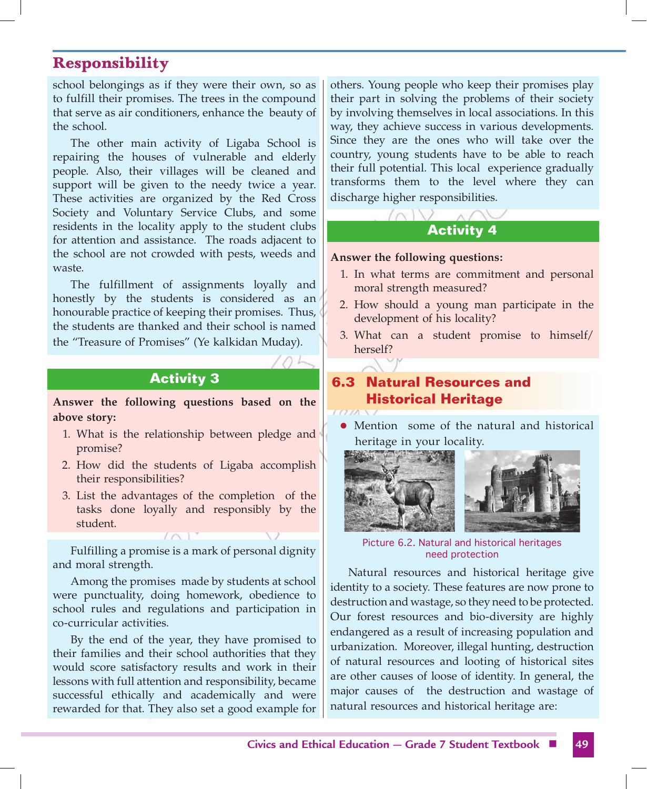school belongings as if they were their own, so as to fulfill their promises. The trees in the compound that serve as air conditioners, enhance the beauty of the school.

The other main activity of Ligaba School is repairing the houses of vulnerable and elderly people. Also, their villages will be cleaned and support will be given to the needy twice a year. These activities are organized by the Red Cross Society and Voluntary Service Clubs, and some residents in the locality apply to the student clubs for attention and assistance. The roads adjacent to the school are not crowded with pests, weeds and waste.

The fulfillment of assignments loyally and honestly by the students is considered as an honourable practice of keeping their promises. Thus, the students are thanked and their school is named the "Treasure of Promises" (Ye kalkidan Muday).

### **Activity 3**

**Answer the following questions based on the above story:** 

- 1. What is the relationship between pledge and promise?
- 2. How did the students of Ligaba accomplish their responsibilities?
- 3. List the advantages of the completion of the tasks done loyally and responsibly by the student.

Fulfilling a promise is a mark of personal dignity and moral strength.

Among the promises made by students at school were punctuality, doing homework, obedience to school rules and regulations and participation in co-curricular activities.

By the end of the year, they have promised to their families and their school authorities that they would score satisfactory results and work in their lessons with full attention and responsibility, became successful ethically and academically and were rewarded for that. They also set a good example for others. Young people who keep their promises play their part in solving the problems of their society by involving themselves in local associations. In this way, they achieve success in various developments. Since they are the ones who will take over the country, young students have to be able to reach their full potential. This local experience gradually transforms them to the level where they can discharge higher responsibilities.



### **Answer the following questions:**

- 1. In what terms are commitment and personal moral strength measured?
- 2. How should a young man participate in the development of his locality?
- 3. What can a student promise to himself/ herself?

# **6.3 Natural Resources and Historical Heritage**

• Mention some of the natural and historical heritage in your locality.



Picture 6.2. Natural and historical heritages need protection

Natural resources and historical heritage give identity to a society. These features are now prone to destruction and wastage, so they need to be protected. Our forest resources and bio-diversity are highly endangered as a result of increasing population and urbanization. Moreover, illegal hunting, destruction of natural resources and looting of historical sites are other causes of loose of identity. In general, the major causes of the destruction and wastage of natural resources and historical heritage are: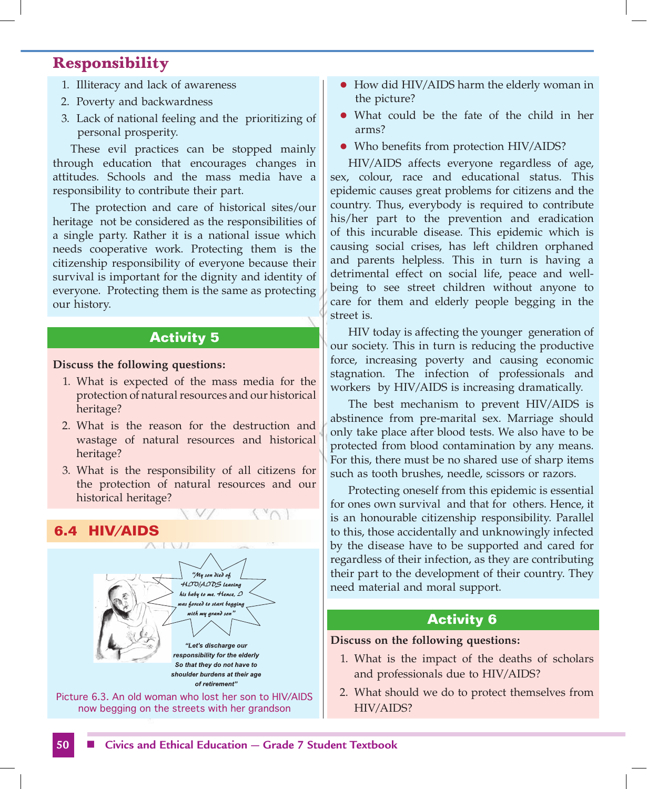- 1. Illiteracy and lack of awareness
- 2. Poverty and backwardness
- 3. Lack of national feeling and the prioritizing of personal prosperity.

These evil practices can be stopped mainly through education that encourages changes in attitudes. Schools and the mass media have a responsibility to contribute their part.

The protection and care of historical sites/our heritage not be considered as the responsibilities of a single party. Rather it is a national issue which needs cooperative work. Protecting them is the citizenship responsibility of everyone because their survival is important for the dignity and identity of everyone. Protecting them is the same as protecting our history.

### **Activity 5**

#### **Discuss the following questions:**

- 1. What is expected of the mass media for the protection of natural resources and our historical heritage?
- 2. What is the reason for the destruction and wastage of natural resources and historical heritage?
- 3. What is the responsibility of all citizens for the protection of natural resources and our historical heritage?



- How did HIV/AIDS harm the elderly woman in the picture?
- What could be the fate of the child in her arms?
- Who benefits from protection HIV/AIDS?

HIV/AIDS affects everyone regardless of age, sex, colour, race and educational status. This epidemic causes great problems for citizens and the country. Thus, everybody is required to contribute his/her part to the prevention and eradication of this incurable disease. This epidemic which is causing social crises, has left children orphaned and parents helpless. This in turn is having a detrimental effect on social life, peace and wellbeing to see street children without anyone to care for them and elderly people begging in the street is.

HIV today is affecting the younger generation of our society. This in turn is reducing the productive force, increasing poverty and causing economic stagnation. The infection of professionals and workers by HIV/AIDS is increasing dramatically.

The best mechanism to prevent HIV/AIDS is abstinence from pre-marital sex. Marriage should only take place after blood tests. We also have to be protected from blood contamination by any means. For this, there must be no shared use of sharp items such as tooth brushes, needle, scissors or razors.

Protecting oneself from this epidemic is essential for ones own survival and that for others. Hence, it is an honourable citizenship responsibility. Parallel to this, those accidentally and unknowingly infected by the disease have to be supported and cared for regardless of their infection, as they are contributing their part to the development of their country. They need material and moral support.

### **Activity 6**

#### **Discuss on the following questions:**

- 1. What is the impact of the deaths of scholars and professionals due to HIV/AIDS?
- 2. What should we do to protect themselves from HIV/AIDS?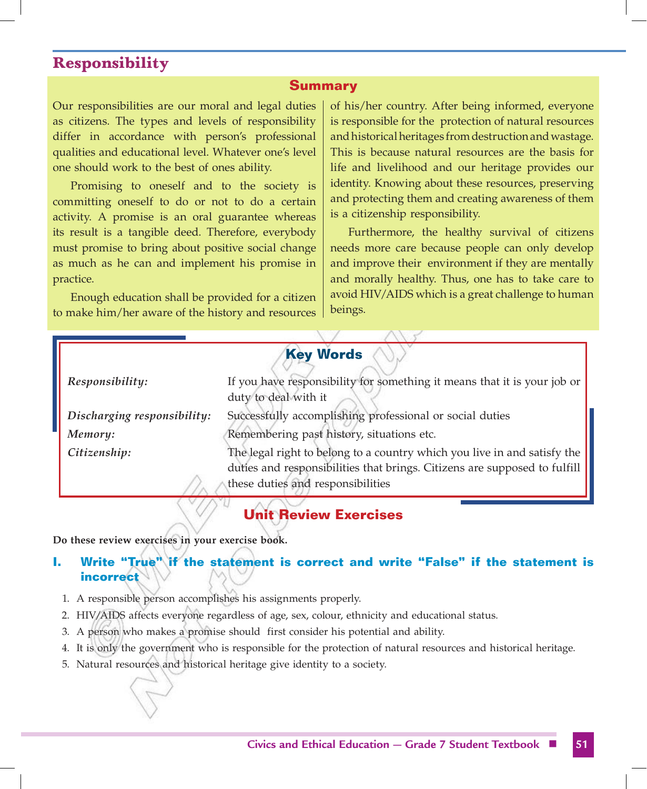### **Summary**

Our responsibilities are our moral and legal duties as citizens. The types and levels of responsibility differ in accordance with person's professional qualities and educational level. Whatever one's level one should work to the best of ones ability.

Promising to oneself and to the society is committing oneself to do or not to do a certain activity. A promise is an oral guarantee whereas its result is a tangible deed. Therefore, everybody must promise to bring about positive social change as much as he can and implement his promise in practice.

Enough education shall be provided for a citizen to make him/her aware of the history and resources

of his/her country. After being informed, everyone is responsible for the protection of natural resources and historical heritages from destruction and wastage. This is because natural resources are the basis for life and livelihood and our heritage provides our identity. Knowing about these resources, preserving and protecting them and creating awareness of them is a citizenship responsibility.

Furthermore, the healthy survival of citizens needs more care because people can only develop and improve their environment if they are mentally and morally healthy. Thus, one has to take care to avoid HIV/AIDS which is a great challenge to human beings.

# **Key Words**

*Responsibility:* If you have responsibility for something it means that it is your job or duty to deal with it *Discharging responsibility:* Successfully accomplishing professional or social duties *Memory:* Remembering past history, situations etc. *Citizenship:* The legal right to belong to a country which you live in and satisfy the duties and responsibilities that brings. Citizens are supposed to fulfill

# **Unit Review Exercises**

these duties and responsibilities

**Do these review exercises in your exercise book.**

### **I. Write "True" if the statement is correct and write "False" if the statement is incorrect**

- 1. A responsible person accomplishes his assignments properly.
- 2. HIV/AIDS affects everyone regardless of age, sex, colour, ethnicity and educational status.
- 3. A person who makes a promise should first consider his potential and ability.
- 4. It is only the government who is responsible for the protection of natural resources and historical heritage.
- 5. Natural resources and historical heritage give identity to a society.